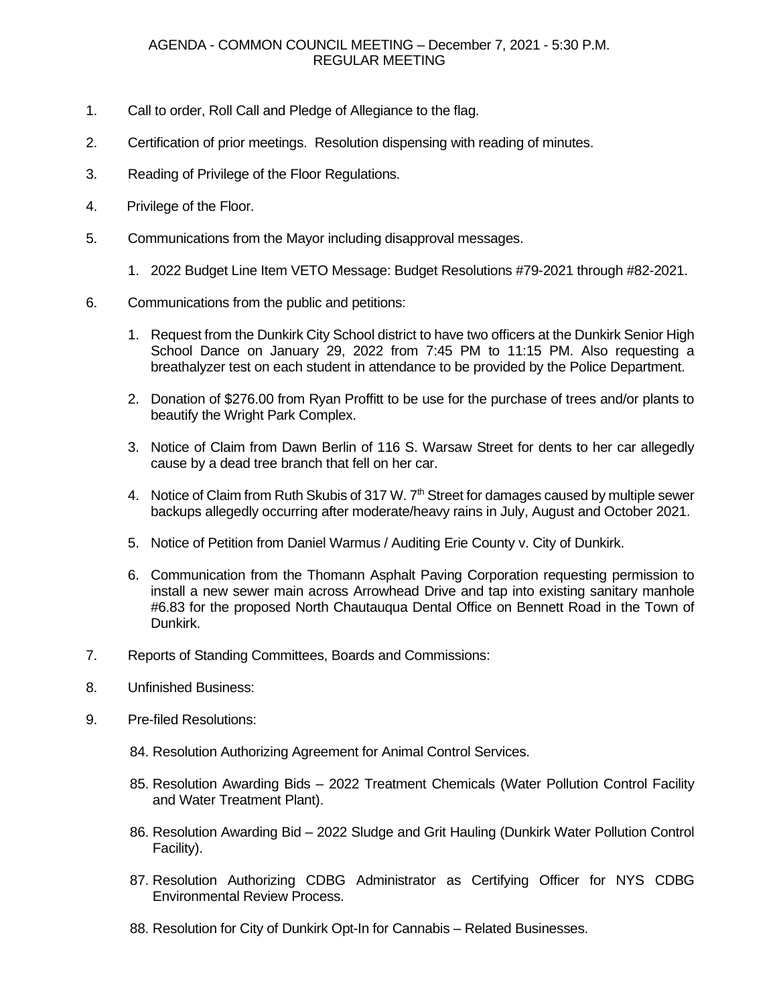## AGENDA - COMMON COUNCIL MEETING – December 7, 2021 - 5:30 P.M. REGULAR MEETING

- 1. Call to order, Roll Call and Pledge of Allegiance to the flag.
- 2. Certification of prior meetings. Resolution dispensing with reading of minutes.
- 3. Reading of Privilege of the Floor Regulations.
- 4. Privilege of the Floor.
- 5. Communications from the Mayor including disapproval messages.
	- 1. 2022 Budget Line Item VETO Message: Budget Resolutions #79-2021 through #82-2021.
- 6. Communications from the public and petitions:
	- 1. Request from the Dunkirk City School district to have two officers at the Dunkirk Senior High School Dance on January 29, 2022 from 7:45 PM to 11:15 PM. Also requesting a breathalyzer test on each student in attendance to be provided by the Police Department.
	- 2. Donation of \$276.00 from Ryan Proffitt to be use for the purchase of trees and/or plants to beautify the Wright Park Complex.
	- 3. Notice of Claim from Dawn Berlin of 116 S. Warsaw Street for dents to her car allegedly cause by a dead tree branch that fell on her car.
	- 4. Notice of Claim from Ruth Skubis of 317 W. 7<sup>th</sup> Street for damages caused by multiple sewer backups allegedly occurring after moderate/heavy rains in July, August and October 2021.
	- 5. Notice of Petition from Daniel Warmus / Auditing Erie County v. City of Dunkirk.
	- 6. Communication from the Thomann Asphalt Paving Corporation requesting permission to install a new sewer main across Arrowhead Drive and tap into existing sanitary manhole #6.83 for the proposed North Chautauqua Dental Office on Bennett Road in the Town of Dunkirk.
- 7. Reports of Standing Committees, Boards and Commissions:
- 8. Unfinished Business:
- 9. Pre-filed Resolutions:
	- 84. Resolution Authorizing Agreement for Animal Control Services.
	- 85. Resolution Awarding Bids 2022 Treatment Chemicals (Water Pollution Control Facility and Water Treatment Plant).
	- 86. Resolution Awarding Bid 2022 Sludge and Grit Hauling (Dunkirk Water Pollution Control Facility).
	- 87. Resolution Authorizing CDBG Administrator as Certifying Officer for NYS CDBG Environmental Review Process.
	- 88. Resolution for City of Dunkirk Opt-In for Cannabis Related Businesses.